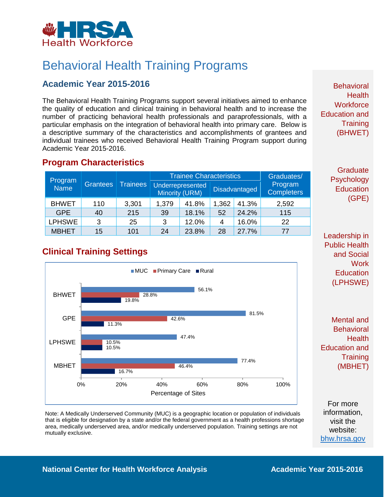

# Behavioral Health Training Programs

### **Academic Year 2015-2016**

The Behavioral Health Training Programs support several initiatives aimed to enhance the quality of education and clinical training in behavioral health and to increase the number of practicing behavioral health professionals and paraprofessionals, with a particular emphasis on the integration of behavioral health into primary care. Below is a descriptive summary of the characteristics and accomplishments of grantees and individual trainees who received Behavioral Health Training Program support during Academic Year 2015-2016.

#### **Program Characteristics**

| Program<br><b>Name</b> | Grantees | <b>Trainees</b> | <b>Trainee Characteristics</b> |                                    |       |                      | Graduates/                   |
|------------------------|----------|-----------------|--------------------------------|------------------------------------|-------|----------------------|------------------------------|
|                        |          |                 |                                | Underrepresented<br>Minority (URM) |       | <b>Disadvantaged</b> | Program<br><b>Completers</b> |
| <b>BHWET</b>           | 110      | 3,301           | 1,379                          | 41.8%                              | 1,362 | 41.3%                | 2,592                        |
| <b>GPE</b>             | 40       | 215             | 39                             | 18.1%                              | 52    | 24.2%                | 115                          |
| <b>LPHSWE</b>          | 3        | 25              | 3                              | 12.0%                              |       | 16.0%                | 22                           |
| <b>MBHET</b>           | 15       | 101             | 24                             | 23.8%                              | 28    | 27.7%                | 77                           |

# **Clinical Training Settings**



Note: A Medically Underserved Community (MUC) is a geographic location or population of individuals that is eligible for designation by a state and/or the federal government as a health professions shortage area, medically underserved area, and/or medically underserved population. Training settings are not mutually exclusive.

**Behavioral Health Workforce** Education and **Training** (BHWET)

> **Graduate** Psychology **Education** (GPE)

Leadership in Public Health and Social **Work Education** (LPHSWE)

Mental and **Behavioral Health** Education and **Training** (MBHET)

For more information, visit the website: [bhw.hrsa.gov](http://bhw.hrsa.gov/)